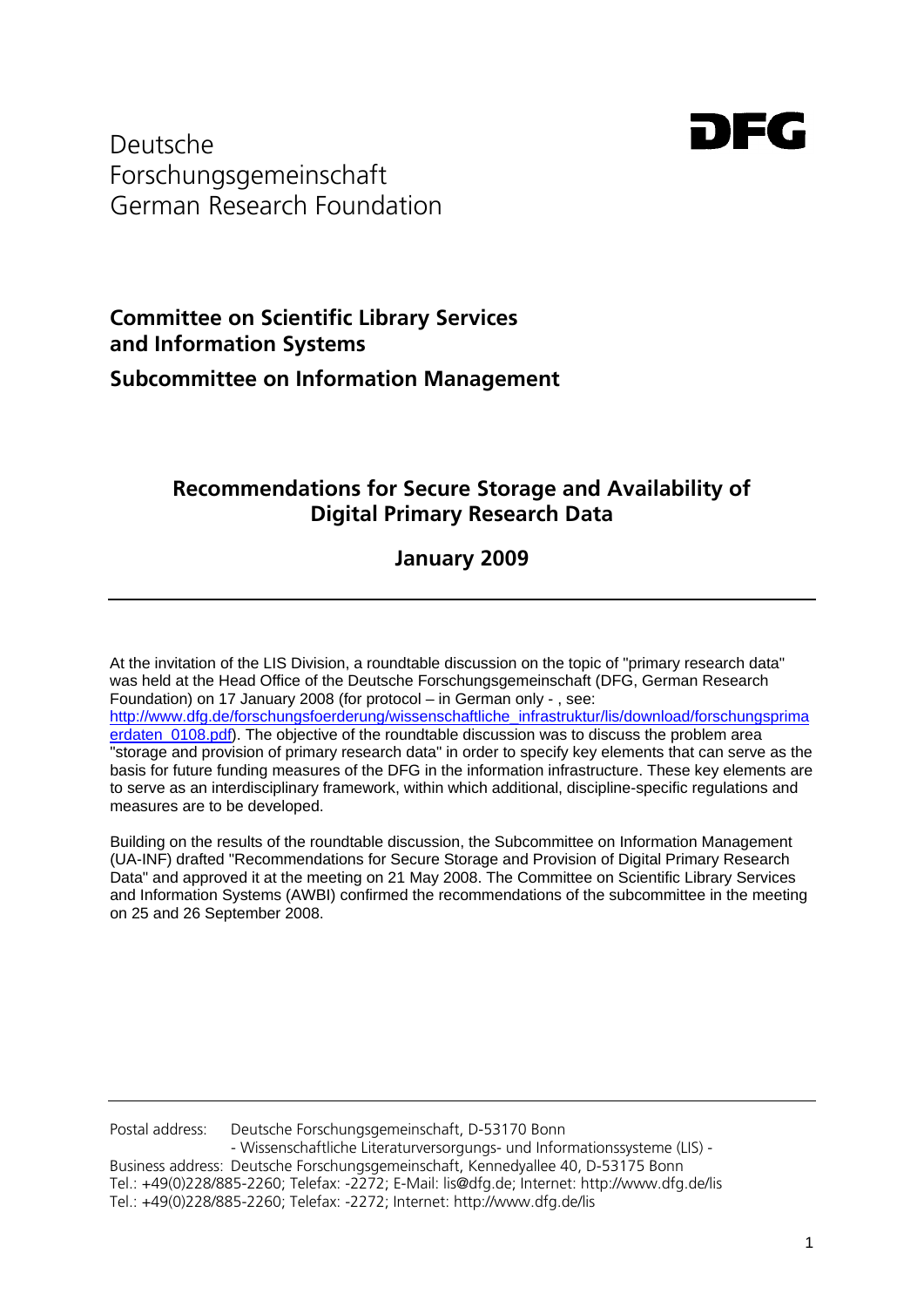

Deutsche Forschungsgemeinschaft German Research Foundation

# **Committee on Scientific Library Services and Information Systems Subcommittee on Information Management**

# **Recommendations for Secure Storage and Availability of Digital Primary Research Data**

**January 2009**

At the invitation of the LIS Division, a roundtable discussion on the topic of "primary research data" was held at the Head Office of the Deutsche Forschungsgemeinschaft (DFG, German Research Foundation) on 17 January 2008 (for protocol – in German only - , see: [http://www.dfg.de/forschungsfoerderung/wissenschaftliche\\_infrastruktur/lis/download/forschungsprima](http://www.dfg.de/forschungsfoerderung/wissenschaftliche_infrastruktur/lis/download/forschungsprimaerdaten_0108.pdf) [erdaten\\_0108.pdf\)](http://www.dfg.de/forschungsfoerderung/wissenschaftliche_infrastruktur/lis/download/forschungsprimaerdaten_0108.pdf). The objective of the roundtable discussion was to discuss the problem area "storage and provision of primary research data" in order to specify key elements that can serve as the basis for future funding measures of the DFG in the information infrastructure. These key elements are to serve as an interdisciplinary framework, within which additional, discipline-specific regulations and measures are to be developed.

Building on the results of the roundtable discussion, the Subcommittee on Information Management (UA-INF) drafted "Recommendations for Secure Storage and Provision of Digital Primary Research Data" and approved it at the meeting on 21 May 2008. The Committee on Scientific Library Services and Information Systems (AWBI) confirmed the recommendations of the subcommittee in the meeting on 25 and 26 September 2008.

Postal address: Deutsche Forschungsgemeinschaft, D-53170 Bonn - Wissenschaftliche Literaturversorgungs- und Informationssysteme (LIS) - Business address: Deutsche Forschungsgemeinschaft, Kennedyallee 40, D-53175 Bonn Tel.: +49(0)228/885-2260; Telefax: -2272; E-Mail: lis@dfg.de; Internet: http://www.dfg.de/lis Tel.: +49(0)228/885-2260; Telefax: -2272; Internet: http://www.dfg.de/lis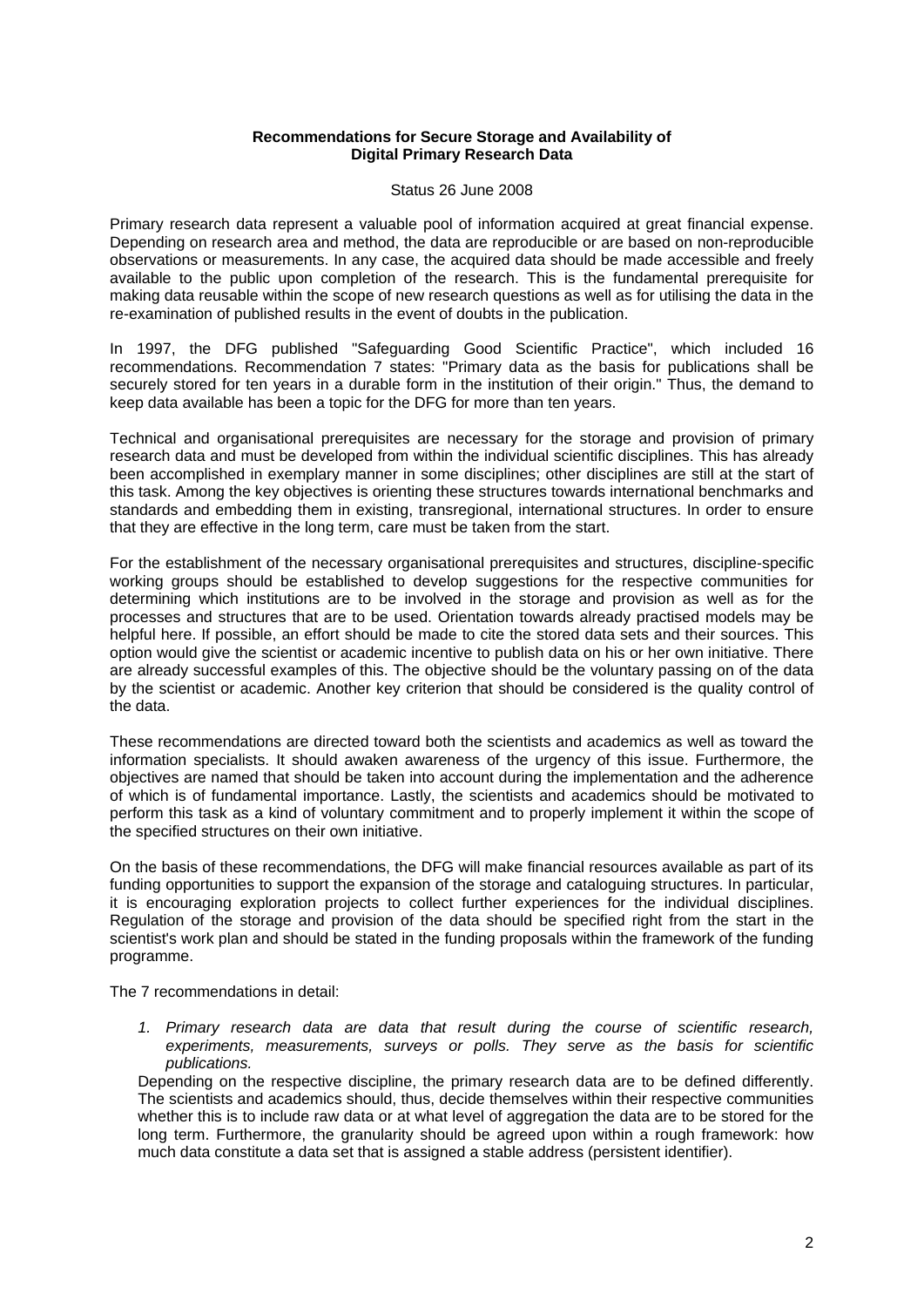#### **Recommendations for Secure Storage and Availability of Digital Primary Research Data**

#### Status 26 June 2008

Primary research data represent a valuable pool of information acquired at great financial expense. Depending on research area and method, the data are reproducible or are based on non-reproducible observations or measurements. In any case, the acquired data should be made accessible and freely available to the public upon completion of the research. This is the fundamental prerequisite for making data reusable within the scope of new research questions as well as for utilising the data in the re-examination of published results in the event of doubts in the publication.

In 1997, the DFG published "Safeguarding Good Scientific Practice", which included 16 recommendations. Recommendation 7 states: "Primary data as the basis for publications shall be securely stored for ten years in a durable form in the institution of their origin." Thus, the demand to keep data available has been a topic for the DFG for more than ten years.

Technical and organisational prerequisites are necessary for the storage and provision of primary research data and must be developed from within the individual scientific disciplines. This has already been accomplished in exemplary manner in some disciplines; other disciplines are still at the start of this task. Among the key objectives is orienting these structures towards international benchmarks and standards and embedding them in existing, transregional, international structures. In order to ensure that they are effective in the long term, care must be taken from the start.

For the establishment of the necessary organisational prerequisites and structures, discipline-specific working groups should be established to develop suggestions for the respective communities for determining which institutions are to be involved in the storage and provision as well as for the processes and structures that are to be used. Orientation towards already practised models may be helpful here. If possible, an effort should be made to cite the stored data sets and their sources. This option would give the scientist or academic incentive to publish data on his or her own initiative. There are already successful examples of this. The objective should be the voluntary passing on of the data by the scientist or academic. Another key criterion that should be considered is the quality control of the data.

These recommendations are directed toward both the scientists and academics as well as toward the information specialists. It should awaken awareness of the urgency of this issue. Furthermore, the objectives are named that should be taken into account during the implementation and the adherence of which is of fundamental importance. Lastly, the scientists and academics should be motivated to perform this task as a kind of voluntary commitment and to properly implement it within the scope of the specified structures on their own initiative.

On the basis of these recommendations, the DFG will make financial resources available as part of its funding opportunities to support the expansion of the storage and cataloguing structures. In particular, it is encouraging exploration projects to collect further experiences for the individual disciplines. Regulation of the storage and provision of the data should be specified right from the start in the scientist's work plan and should be stated in the funding proposals within the framework of the funding programme.

The 7 recommendations in detail:

*1. Primary research data are data that result during the course of scientific research, experiments, measurements, surveys or polls. They serve as the basis for scientific publications.*

Depending on the respective discipline, the primary research data are to be defined differently. The scientists and academics should, thus, decide themselves within their respective communities whether this is to include raw data or at what level of aggregation the data are to be stored for the long term. Furthermore, the granularity should be agreed upon within a rough framework: how much data constitute a data set that is assigned a stable address (persistent identifier).